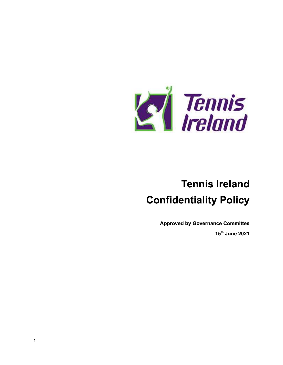

## **Tennis Ireland Confidentiality Policy**

**Approved by Governance Committee 15th June 2021**